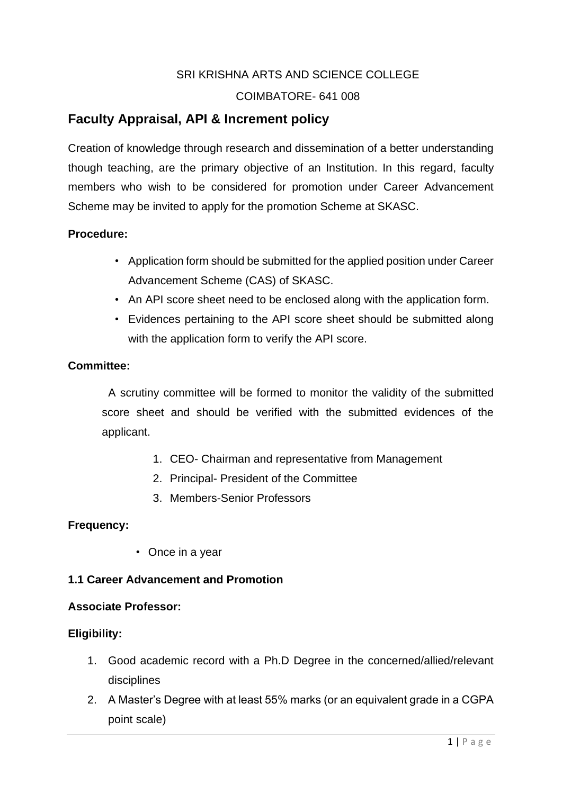# SRI KRISHNA ARTS AND SCIENCE COLLEGE

# COIMBATORE- 641 008

# **Faculty Appraisal, API & Increment policy**

Creation of knowledge through research and dissemination of a better understanding though teaching, are the primary objective of an Institution. In this regard, faculty members who wish to be considered for promotion under Career Advancement Scheme may be invited to apply for the promotion Scheme at SKASC.

# **Procedure:**

- Application form should be submitted for the applied position under Career Advancement Scheme (CAS) of SKASC.
- An API score sheet need to be enclosed along with the application form.
- Evidences pertaining to the API score sheet should be submitted along with the application form to verify the API score.

# **Committee:**

 A scrutiny committee will be formed to monitor the validity of the submitted score sheet and should be verified with the submitted evidences of the applicant.

- 1. CEO- Chairman and representative from Management
- 2. Principal- President of the Committee
- 3. Members-Senior Professors

# **Frequency:**

• Once in a year

# **1.1 Career Advancement and Promotion**

#### **Associate Professor:**

# **Eligibility:**

- 1. Good academic record with a Ph.D Degree in the concerned/allied/relevant disciplines
- 2. A Master's Degree with at least 55% marks (or an equivalent grade in a CGPA point scale)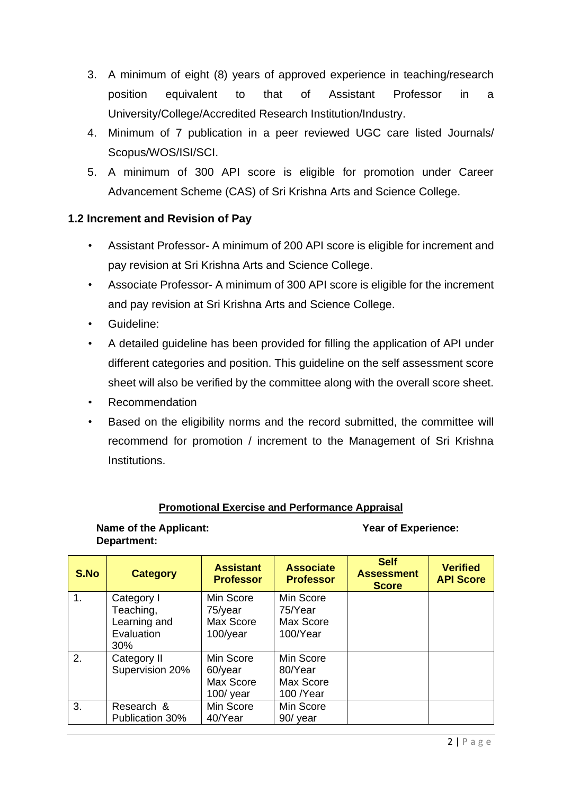- 3. A minimum of eight (8) years of approved experience in teaching/research position equivalent to that of Assistant Professor in a University/College/Accredited Research Institution/Industry.
- 4. Minimum of 7 publication in a peer reviewed UGC care listed Journals/ Scopus/WOS/ISI/SCI.
- 5. A minimum of 300 API score is eligible for promotion under Career Advancement Scheme (CAS) of Sri Krishna Arts and Science College.

# **1.2 Increment and Revision of Pay**

- Assistant Professor- A minimum of 200 API score is eligible for increment and pay revision at Sri Krishna Arts and Science College.
- Associate Professor- A minimum of 300 API score is eligible for the increment and pay revision at Sri Krishna Arts and Science College.
- Guideline:
- A detailed guideline has been provided for filling the application of API under different categories and position. This guideline on the self assessment score sheet will also be verified by the committee along with the overall score sheet.
- Recommendation
- Based on the eligibility norms and the record submitted, the committee will recommend for promotion / increment to the Management of Sri Krishna Institutions.

# **Promotional Exercise and Performance Appraisal**

### **Name of the Applicant:** Year of Experience: **Department:**

| S.No | <b>Category</b> | <b>Assistant</b><br><b>Professor</b> | <b>Associate</b><br><b>Professor</b> | <b>Self</b><br><b>Assessment</b><br><b>Score</b> | <b>Verified</b><br><b>API Score</b> |
|------|-----------------|--------------------------------------|--------------------------------------|--------------------------------------------------|-------------------------------------|
| 1.   | Category I      | Min Score                            | Min Score                            |                                                  |                                     |
|      | Teaching,       | 75/year                              | 75/Year                              |                                                  |                                     |
|      | Learning and    | Max Score                            | Max Score                            |                                                  |                                     |
|      | Evaluation      | 100/year                             | 100/Year                             |                                                  |                                     |
|      | $30\%$          |                                      |                                      |                                                  |                                     |
| 2.   | Category II     | Min Score                            | Min Score                            |                                                  |                                     |
|      | Supervision 20% | 60/year                              | 80/Year                              |                                                  |                                     |
|      |                 | Max Score                            | Max Score                            |                                                  |                                     |
|      |                 | $100/$ year                          | 100 /Year                            |                                                  |                                     |
| 3.   | Research &      | Min Score                            | Min Score                            |                                                  |                                     |
|      | Publication 30% | 40/Year                              | 90/ year                             |                                                  |                                     |